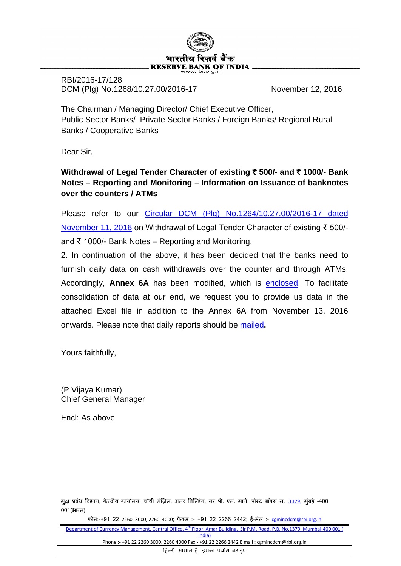

RBI/2016-17/128 DCM (Plg) No.1268/10.27.00/2016-17 November 12, 2016

The Chairman / Managing Director/ Chief Executive Officer, Public Sector Banks/ Private Sector Banks / Foreign Banks/ Regional Rural Banks / Cooperative Banks

Dear Sir,

**Withdrawal of Legal Tender Character of existing** ` **500/- and** ` **1000/- Bank Notes – Reporting and Monitoring – Information on Issuance of banknotes over the counters / ATMs**

Please refer to our [Circular DCM \(Plg\) No.1264/10.27.00/2016-17 dated](https://www.rbi.org.in/Scripts/NotificationUser.aspx?Id=10698&Mode=0)  [November 11, 2016](https://www.rbi.org.in/Scripts/NotificationUser.aspx?Id=10698&Mode=0) on Withdrawal of Legal Tender Character of existing ₹ 500/ and ₹ 1000/- Bank Notes – Reporting and Monitoring.

2. In continuation of the above, it has been decided that the banks need to furnish daily data on cash withdrawals over the counter and through ATMs. Accordingly, **Annex 6A** has been modified, which is [enclosed.](http://rbidocs.rbi.org.in/rdocs/content/docs/BANK12112016.xls) To facilitate consolidation of data at our end, we request you to provide us data in the attached Excel file in addition to the Annex 6A from November 13, 2016 onwards. Please note that daily reports should be [mailed](mailto:bankreport@rbi.org.in)**.** 

Yours faithfully,

(P Vijaya Kumar) Chief General Manager

Encl: As above

मुद्रा प्रबंध विभाग, केन्द्रीय कार्यालय, चौथी मज़िल, अमर बिल्डिंग, सर पी. एम. मागे, पोस्ट बॉक्स स. <u>.1379,</u> मुंबई -400 001(भारत)

फोन:-+91 22 2260 3000, 2260 4000; फ़ै क्स :- +91 22 2266 2442; ई-मेल :- [cgmincdcm@rbi.org.in](mailto:cgmincdcm@rbi.org.in)

Department of Currency Management, Central Office, 4<sup>th</sup> Floor, Amar Building, Sir P.M. Road, P.B. No.1379, Mumbai-400 001 ( India) Phone :- +91 22 2260 3000, 2260 4000 Fax:- +91 22 2266 2442 E mail : cgmincdcm@rbi.org.in

�हन्द� आसान है, इसका प्रयोग बढ़ाइए